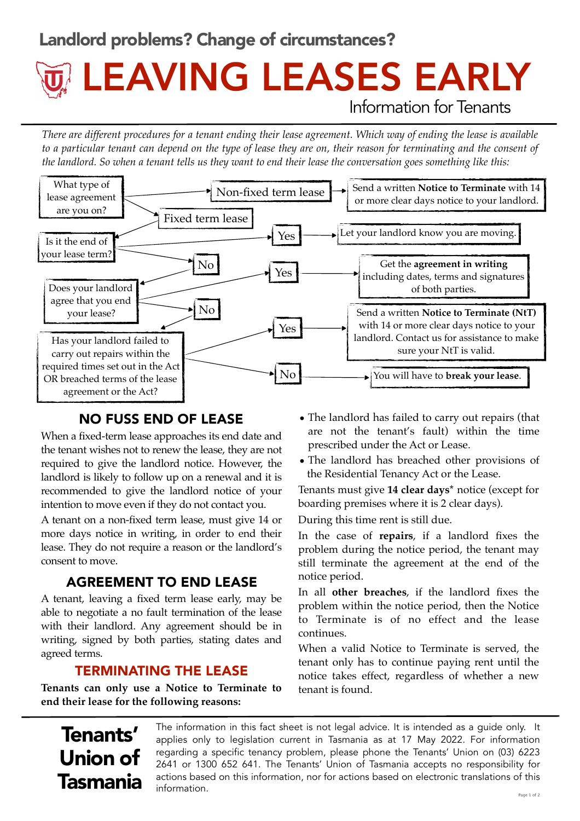### Landlord problems? Change of circumstances?

# Information for Tenants LEAVING LEASES EARLY

*There are different procedures for a tenant ending their lease agreement. Which way of ending the lease is available*  to a particular tenant can depend on the type of lease they are on, their reason for terminating and the consent of *the landlord. So when a tenant tells us they want to end their lease the conversation goes something like this:* 



#### NO FUSS END OF LEASE

When a fixed-term lease approaches its end date and the tenant wishes not to renew the lease, they are not required to give the landlord notice. However, the landlord is likely to follow up on a renewal and it is recommended to give the landlord notice of your intention to move even if they do not contact you.

A tenant on a non-fixed term lease, must give 14 or more days notice in writing, in order to end their lease. They do not require a reason or the landlord's consent to move.

#### AGREEMENT TO END LEASE

A tenant, leaving a fixed term lease early, may be able to negotiate a no fault termination of the lease with their landlord. Any agreement should be in writing, signed by both parties, stating dates and agreed terms.

#### TERMINATING THE LEASE

**Tenants can only use a Notice to Terminate to end their lease for the following reasons:**

- The landlord has failed to carry out repairs (that are not the tenant's fault) within the time prescribed under the Act or Lease.
- The landlord has breached other provisions of the Residential Tenancy Act or the Lease.

Tenants must give **14 clear days\*** notice (except for boarding premises where it is 2 clear days).

During this time rent is still due.

In the case of **repairs**, if a landlord fixes the problem during the notice period, the tenant may still terminate the agreement at the end of the notice period.

In all **other breaches**, if the landlord fixes the problem within the notice period, then the Notice to Terminate is of no effect and the lease continues.

When a valid Notice to Terminate is served, the tenant only has to continue paying rent until the notice takes effect, regardless of whether a new tenant is found.

## Tenants' Union of Tasmania

The information in this fact sheet is not legal advice. It is intended as a guide only. It applies only to legislation current in Tasmania as at 17 May 2022. For information regarding a specific tenancy problem, please phone the Tenants' Union on (03) 6223 2641 or 1300 652 641. The Tenants' Union of Tasmania accepts no responsibility for actions based on this information, nor for actions based on electronic translations of this  $information.$